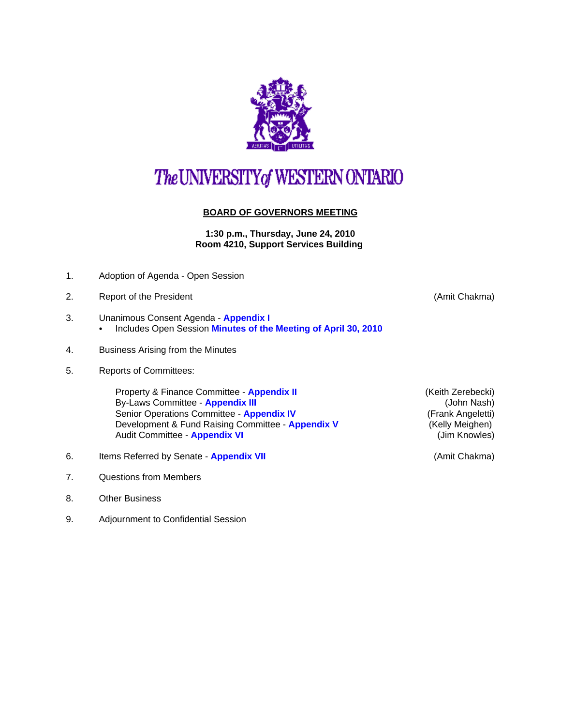

# The UNIVERSITY of WESTERN ONTARIO

#### **BOARD OF GOVERNORS MEETING**

**1:30 p.m., Thursday, June 24, 2010 Room 4210, Support Services Building** 

- 1. Adoption of Agenda Open Session
- 2. Report of the President **Container and Container Container and Container American** Container and Amit Chakma)
- 3. Unanimous Consent Agenda **[Appendix I](http://www.uwo.ca/univsec/board/minutes/2010/r1006consent.pdf)**   $\cdot$  Includes Open Session [Minutes of the Meeting of April 30, 2010](http://www.uwo.ca/univsec/board/minutes/2010/m1004bg.pdf)
- 4. Business Arising from the Minutes
- 5. Reports of Committees:

Property & Finance Committee - **[Appendix II](http://www.uwo.ca/univsec/board/minutes/2010/r1006pf.pdf)** (Keith Zerebecki) By-Laws Committee - **[Appendix III](http://www.uwo.ca/univsec/board/minutes/2010/r1006bylaws.pdf) and Committee - Appendix III (John Nash)** Senior Operations Committee - **[Appendix IV](http://www.uwo.ca/univsec/board/minutes/2010/r1006srops.pdf)** (Frank Angeletti) Development & Fund Raising Committee - **[Appendix V](http://www.uwo.ca/univsec/board/minutes/2010/r1006dfr.pdf)** (Kelly Meighen) Audit Committee - **[Appendix VI](http://www.uwo.ca/univsec/board/minutes/2010/r1006aud.pdf) Audit Committee - Appendix VI VI Audit Committee - Appendix VI VI Audit Committee - Appendix VI VI Audit Committee - Appendix VI VI Audit Committee - Appendix VI VI Audi** 

- 6. Items Referred by Senate **[Appendix VII](http://www.uwo.ca/univsec/board/minutes/2010/r1006sen.pdf)** (Amit Chakma)
- 7. Questions from Members
- 8. Other Business
- 9. Adjournment to Confidential Session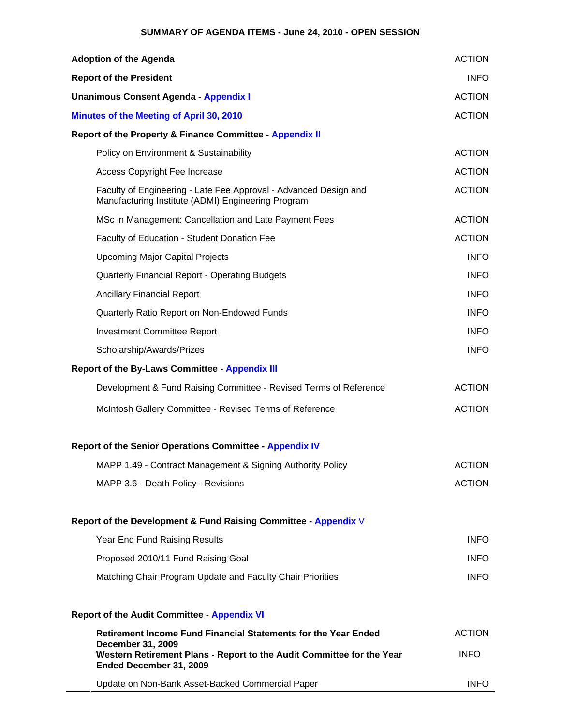### **SUMMARY OF AGENDA ITEMS - June 24, 2010 - OPEN SESSION**

| <b>Adoption of the Agenda</b>                                                                                                | <b>ACTION</b> |
|------------------------------------------------------------------------------------------------------------------------------|---------------|
| <b>Report of the President</b>                                                                                               | <b>INFO</b>   |
| Unanimous Consent Agenda - Appendix I                                                                                        | <b>ACTION</b> |
| Minutes of the Meeting of April 30, 2010                                                                                     | <b>ACTION</b> |
| Report of the Property & Finance Committee - Appendix II                                                                     |               |
| Policy on Environment & Sustainability                                                                                       | <b>ACTION</b> |
| <b>Access Copyright Fee Increase</b>                                                                                         | <b>ACTION</b> |
| Faculty of Engineering - Late Fee Approval - Advanced Design and<br>Manufacturing Institute (ADMI) Engineering Program       | <b>ACTION</b> |
| MSc in Management: Cancellation and Late Payment Fees                                                                        | <b>ACTION</b> |
| Faculty of Education - Student Donation Fee                                                                                  | <b>ACTION</b> |
| <b>Upcoming Major Capital Projects</b>                                                                                       | <b>INFO</b>   |
| Quarterly Financial Report - Operating Budgets                                                                               | <b>INFO</b>   |
| <b>Ancillary Financial Report</b>                                                                                            | <b>INFO</b>   |
| Quarterly Ratio Report on Non-Endowed Funds                                                                                  | <b>INFO</b>   |
| <b>Investment Committee Report</b>                                                                                           | <b>INFO</b>   |
| Scholarship/Awards/Prizes                                                                                                    | <b>INFO</b>   |
| <b>Report of the By-Laws Committee - Appendix III</b>                                                                        |               |
| Development & Fund Raising Committee - Revised Terms of Reference                                                            | <b>ACTION</b> |
| McIntosh Gallery Committee - Revised Terms of Reference                                                                      | <b>ACTION</b> |
| <b>Report of the Senior Operations Committee - Appendix IV</b>                                                               |               |
| MAPP 1.49 - Contract Management & Signing Authority Policy                                                                   | <b>ACTION</b> |
| MAPP 3.6 - Death Policy - Revisions                                                                                          | <b>ACTION</b> |
| Report of the Development & Fund Raising Committee - Appendix V                                                              |               |
| Year End Fund Raising Results                                                                                                | <b>INFO</b>   |
| Proposed 2010/11 Fund Raising Goal                                                                                           | <b>INFO</b>   |
| Matching Chair Program Update and Faculty Chair Priorities                                                                   | <b>INFO</b>   |
| <b>Report of the Audit Committee - Appendix VI</b>                                                                           |               |
| Retirement Income Fund Financial Statements for the Year Ended                                                               | <b>ACTION</b> |
| <b>December 31, 2009</b><br>Western Retirement Plans - Report to the Audit Committee for the Year<br>Ended December 31, 2009 | <b>INFO</b>   |
| Update on Non-Bank Asset-Backed Commercial Paper                                                                             | <b>INFO</b>   |